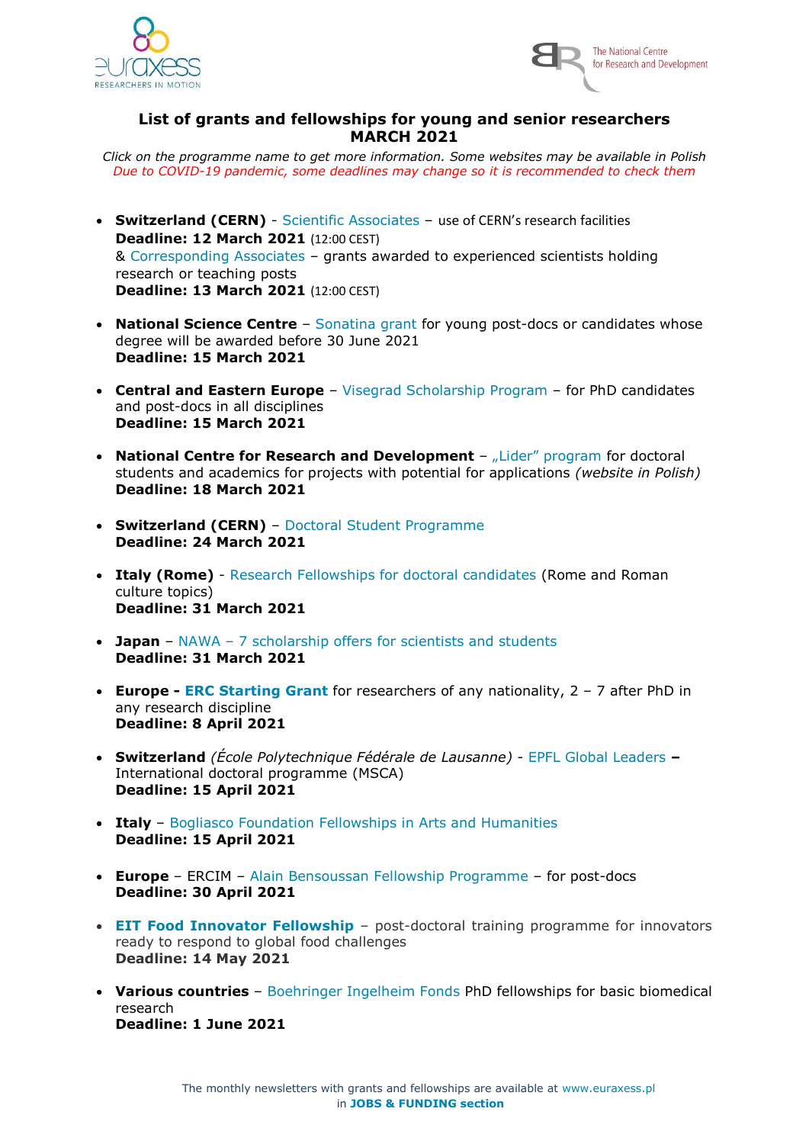



## **List of grants and fellowships for young and senior researchers MARCH 2021**

*Click on the programme name to get more information. Some websites may be available in Polish Due to COVID-19 pandemic, some deadlines may change so it is recommended to check them*

- **Switzerland (CERN)** Scientific Associates use of CERN's research facilities **Deadline: 12 March 2021** (12:00 CEST) & Corresponding Associates – grants awarded to experienced scientists holding research or teaching posts **Deadline: 13 March 2021** (12:00 CEST)
- **National Science Centre** Sonatina grant for young post-docs or candidates whose degree will be awarded before 30 June 2021 **Deadline: 15 March 2021**
- **Central and Eastern Europe** Visegrad Scholarship Program for PhD candidates and post-docs in all disciplines **Deadline: 15 March 2021**
- **National Centre for Research and Development** "Lider" program for doctoral students and academics for projects with potential for applications *(website in Polish)* **Deadline: 18 March 2021**
- **Switzerland (CERN)** Doctoral Student Programme **Deadline: 24 March 2021**
- **Italy (Rome)** Research Fellowships for doctoral candidates (Rome and Roman culture topics) **Deadline: 31 March 2021**
- **Japan** NAWA 7 scholarship offers for scientists and students **Deadline: 31 March 2021**
- **Europe - [ERC Starting Grant](https://erc.europa.eu/node/1343)** for researchers of any nationality, 2 7 after PhD in any research discipline **Deadline: 8 April 2021**
- **Switzerland** *(École Polytechnique Fédérale de Lausanne)* EPFL Global Leaders **–** International doctoral programme (MSCA) **Deadline: 15 April 2021**
- **Italy** Bogliasco Foundation Fellowships in Arts and Humanities **Deadline: 15 April 2021**
- **Europe** ERCIM Alain Bensoussan Fellowship Programme for post-docs **Deadline: 30 April 2021**
- **[EIT Food Innovator Fellowship](https://www.eitfood.eu/projects/innovator-fellowship)** post-doctoral training programme for innovators ready to respond to global food challenges **Deadline: 14 May 2021**
- **Various countries** Boehringer Ingelheim Fonds PhD fellowships for basic biomedical research **Deadline: 1 June 2021**